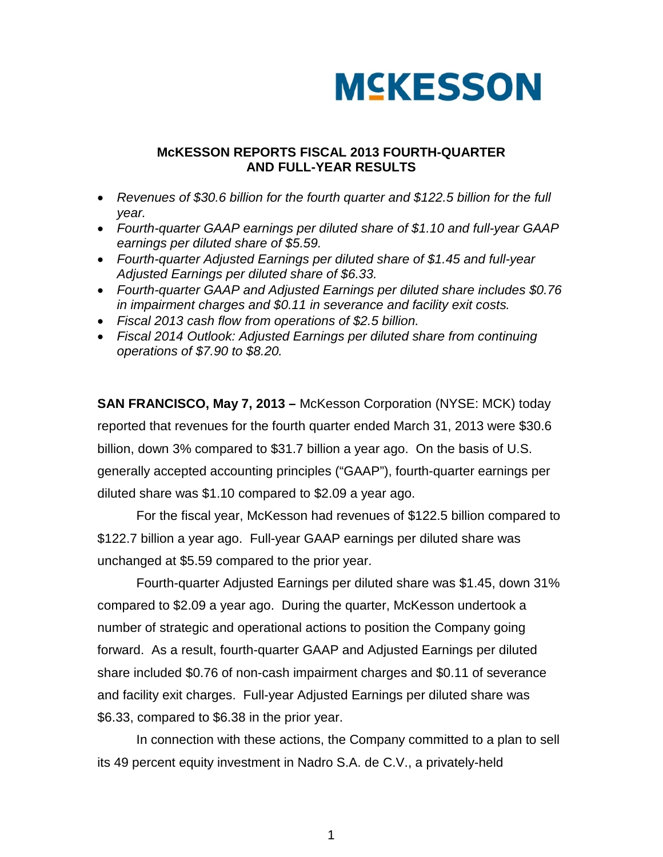

### **McKESSON REPORTS FISCAL 2013 FOURTH-QUARTER AND FULL-YEAR RESULTS**

- *Revenues of \$30.6 billion for the fourth quarter and \$122.5 billion for the full year.*
- *Fourth-quarter GAAP earnings per diluted share of \$1.10 and full-year GAAP earnings per diluted share of \$5.59.*
- *Fourth-quarter Adjusted Earnings per diluted share of \$1.45 and full-year Adjusted Earnings per diluted share of \$6.33.*
- *Fourth-quarter GAAP and Adjusted Earnings per diluted share includes \$0.76 in impairment charges and \$0.11 in severance and facility exit costs.*
- *Fiscal 2013 cash flow from operations of \$2.5 billion.*
- *Fiscal 2014 Outlook: Adjusted Earnings per diluted share from continuing operations of \$7.90 to \$8.20.*

**SAN FRANCISCO, May 7, 2013 –** McKesson Corporation (NYSE: MCK) today reported that revenues for the fourth quarter ended March 31, 2013 were \$30.6 billion, down 3% compared to \$31.7 billion a year ago. On the basis of U.S. generally accepted accounting principles ("GAAP"), fourth-quarter earnings per diluted share was \$1.10 compared to \$2.09 a year ago.

For the fiscal year, McKesson had revenues of \$122.5 billion compared to \$122.7 billion a year ago. Full-year GAAP earnings per diluted share was unchanged at \$5.59 compared to the prior year.

Fourth-quarter Adjusted Earnings per diluted share was \$1.45, down 31% compared to \$2.09 a year ago. During the quarter, McKesson undertook a number of strategic and operational actions to position the Company going forward. As a result, fourth-quarter GAAP and Adjusted Earnings per diluted share included \$0.76 of non-cash impairment charges and \$0.11 of severance and facility exit charges. Full-year Adjusted Earnings per diluted share was \$6.33, compared to \$6.38 in the prior year.

In connection with these actions, the Company committed to a plan to sell its 49 percent equity investment in Nadro S.A. de C.V., a privately-held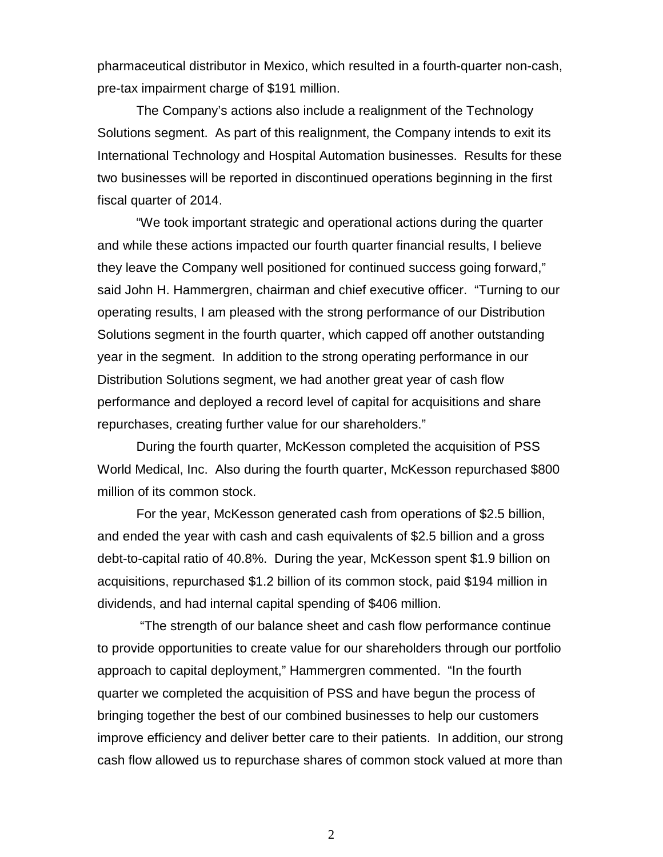pharmaceutical distributor in Mexico, which resulted in a fourth-quarter non-cash, pre-tax impairment charge of \$191 million.

The Company's actions also include a realignment of the Technology Solutions segment. As part of this realignment, the Company intends to exit its International Technology and Hospital Automation businesses. Results for these two businesses will be reported in discontinued operations beginning in the first fiscal quarter of 2014.

"We took important strategic and operational actions during the quarter and while these actions impacted our fourth quarter financial results, I believe they leave the Company well positioned for continued success going forward," said John H. Hammergren, chairman and chief executive officer. "Turning to our operating results, I am pleased with the strong performance of our Distribution Solutions segment in the fourth quarter, which capped off another outstanding year in the segment. In addition to the strong operating performance in our Distribution Solutions segment, we had another great year of cash flow performance and deployed a record level of capital for acquisitions and share repurchases, creating further value for our shareholders."

During the fourth quarter, McKesson completed the acquisition of PSS World Medical, Inc. Also during the fourth quarter, McKesson repurchased \$800 million of its common stock.

For the year, McKesson generated cash from operations of \$2.5 billion, and ended the year with cash and cash equivalents of \$2.5 billion and a gross debt-to-capital ratio of 40.8%. During the year, McKesson spent \$1.9 billion on acquisitions, repurchased \$1.2 billion of its common stock, paid \$194 million in dividends, and had internal capital spending of \$406 million.

"The strength of our balance sheet and cash flow performance continue to provide opportunities to create value for our shareholders through our portfolio approach to capital deployment," Hammergren commented. "In the fourth quarter we completed the acquisition of PSS and have begun the process of bringing together the best of our combined businesses to help our customers improve efficiency and deliver better care to their patients. In addition, our strong cash flow allowed us to repurchase shares of common stock valued at more than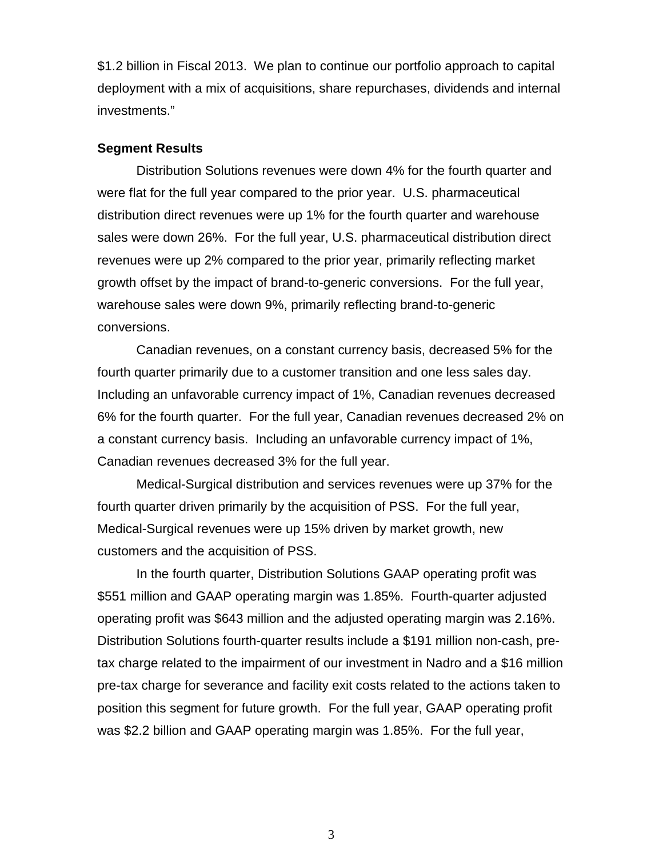\$1.2 billion in Fiscal 2013. We plan to continue our portfolio approach to capital deployment with a mix of acquisitions, share repurchases, dividends and internal investments."

### **Segment Results**

Distribution Solutions revenues were down 4% for the fourth quarter and were flat for the full year compared to the prior year. U.S. pharmaceutical distribution direct revenues were up 1% for the fourth quarter and warehouse sales were down 26%. For the full year, U.S. pharmaceutical distribution direct revenues were up 2% compared to the prior year, primarily reflecting market growth offset by the impact of brand-to-generic conversions. For the full year, warehouse sales were down 9%, primarily reflecting brand-to-generic conversions.

Canadian revenues, on a constant currency basis, decreased 5% for the fourth quarter primarily due to a customer transition and one less sales day. Including an unfavorable currency impact of 1%, Canadian revenues decreased 6% for the fourth quarter. For the full year, Canadian revenues decreased 2% on a constant currency basis. Including an unfavorable currency impact of 1%, Canadian revenues decreased 3% for the full year.

Medical-Surgical distribution and services revenues were up 37% for the fourth quarter driven primarily by the acquisition of PSS. For the full year, Medical-Surgical revenues were up 15% driven by market growth, new customers and the acquisition of PSS.

In the fourth quarter, Distribution Solutions GAAP operating profit was \$551 million and GAAP operating margin was 1.85%. Fourth-quarter adjusted operating profit was \$643 million and the adjusted operating margin was 2.16%. Distribution Solutions fourth-quarter results include a \$191 million non-cash, pretax charge related to the impairment of our investment in Nadro and a \$16 million pre-tax charge for severance and facility exit costs related to the actions taken to position this segment for future growth. For the full year, GAAP operating profit was \$2.2 billion and GAAP operating margin was 1.85%. For the full year,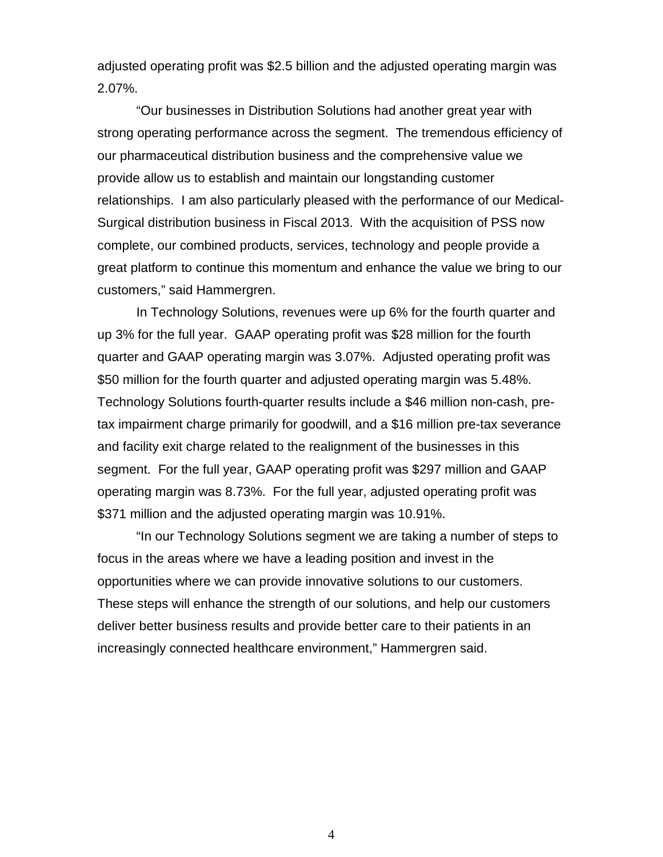adjusted operating profit was \$2.5 billion and the adjusted operating margin was 2.07%.

"Our businesses in Distribution Solutions had another great year with strong operating performance across the segment. The tremendous efficiency of our pharmaceutical distribution business and the comprehensive value we provide allow us to establish and maintain our longstanding customer relationships. I am also particularly pleased with the performance of our Medical-Surgical distribution business in Fiscal 2013. With the acquisition of PSS now complete, our combined products, services, technology and people provide a great platform to continue this momentum and enhance the value we bring to our customers," said Hammergren.

In Technology Solutions, revenues were up 6% for the fourth quarter and up 3% for the full year. GAAP operating profit was \$28 million for the fourth quarter and GAAP operating margin was 3.07%. Adjusted operating profit was \$50 million for the fourth quarter and adjusted operating margin was 5.48%. Technology Solutions fourth-quarter results include a \$46 million non-cash, pretax impairment charge primarily for goodwill, and a \$16 million pre-tax severance and facility exit charge related to the realignment of the businesses in this segment. For the full year, GAAP operating profit was \$297 million and GAAP operating margin was 8.73%. For the full year, adjusted operating profit was \$371 million and the adjusted operating margin was 10.91%.

"In our Technology Solutions segment we are taking a number of steps to focus in the areas where we have a leading position and invest in the opportunities where we can provide innovative solutions to our customers. These steps will enhance the strength of our solutions, and help our customers deliver better business results and provide better care to their patients in an increasingly connected healthcare environment," Hammergren said.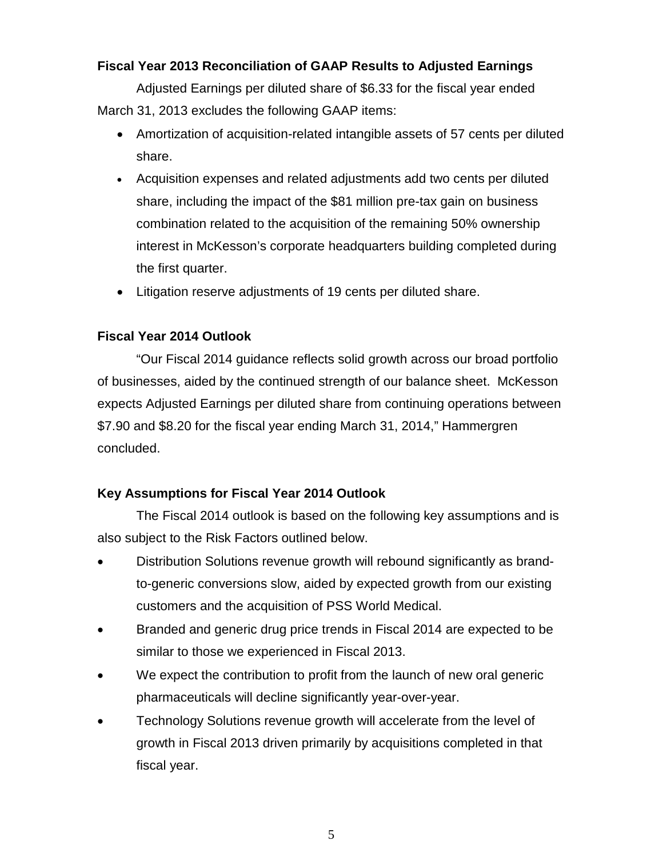## **Fiscal Year 2013 Reconciliation of GAAP Results to Adjusted Earnings**

Adjusted Earnings per diluted share of \$6.33 for the fiscal year ended March 31, 2013 excludes the following GAAP items:

- Amortization of acquisition-related intangible assets of 57 cents per diluted share.
- Acquisition expenses and related adjustments add two cents per diluted share, including the impact of the \$81 million pre-tax gain on business combination related to the acquisition of the remaining 50% ownership interest in McKesson's corporate headquarters building completed during the first quarter.
- Litigation reserve adjustments of 19 cents per diluted share.

## **Fiscal Year 2014 Outlook**

"Our Fiscal 2014 guidance reflects solid growth across our broad portfolio of businesses, aided by the continued strength of our balance sheet. McKesson expects Adjusted Earnings per diluted share from continuing operations between \$7.90 and \$8.20 for the fiscal year ending March 31, 2014," Hammergren concluded.

## **Key Assumptions for Fiscal Year 2014 Outlook**

The Fiscal 2014 outlook is based on the following key assumptions and is also subject to the Risk Factors outlined below.

- Distribution Solutions revenue growth will rebound significantly as brandto-generic conversions slow, aided by expected growth from our existing customers and the acquisition of PSS World Medical.
- Branded and generic drug price trends in Fiscal 2014 are expected to be similar to those we experienced in Fiscal 2013.
- We expect the contribution to profit from the launch of new oral generic pharmaceuticals will decline significantly year-over-year.
- Technology Solutions revenue growth will accelerate from the level of growth in Fiscal 2013 driven primarily by acquisitions completed in that fiscal year.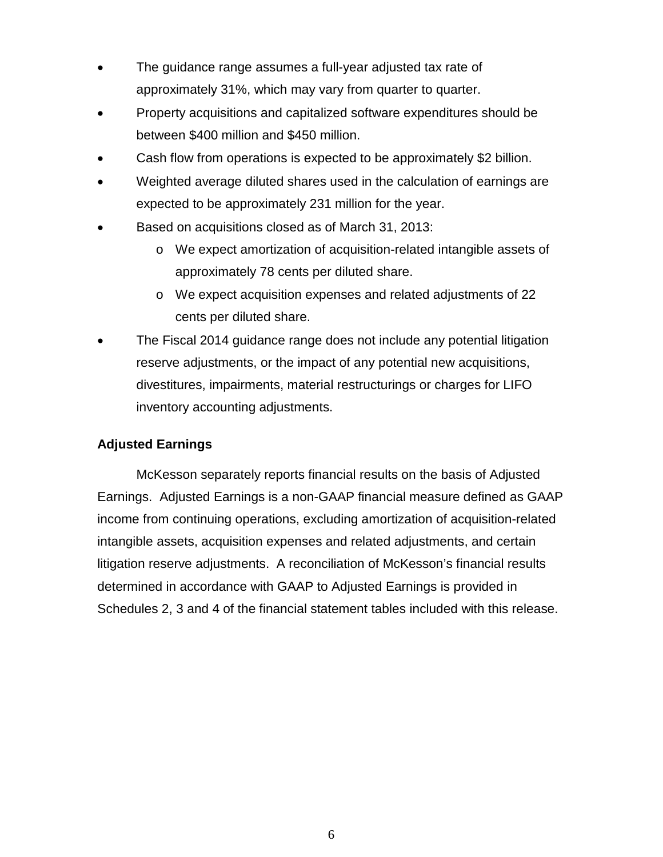- The guidance range assumes a full-year adjusted tax rate of approximately 31%, which may vary from quarter to quarter.
- Property acquisitions and capitalized software expenditures should be between \$400 million and \$450 million.
- Cash flow from operations is expected to be approximately \$2 billion.
- Weighted average diluted shares used in the calculation of earnings are expected to be approximately 231 million for the year.
- Based on acquisitions closed as of March 31, 2013:
	- o We expect amortization of acquisition-related intangible assets of approximately 78 cents per diluted share.
	- o We expect acquisition expenses and related adjustments of 22 cents per diluted share.
- The Fiscal 2014 guidance range does not include any potential litigation reserve adjustments, or the impact of any potential new acquisitions, divestitures, impairments, material restructurings or charges for LIFO inventory accounting adjustments.

## **Adjusted Earnings**

McKesson separately reports financial results on the basis of Adjusted Earnings. Adjusted Earnings is a non-GAAP financial measure defined as GAAP income from continuing operations, excluding amortization of acquisition-related intangible assets, acquisition expenses and related adjustments, and certain litigation reserve adjustments. A reconciliation of McKesson's financial results determined in accordance with GAAP to Adjusted Earnings is provided in Schedules 2, 3 and 4 of the financial statement tables included with this release.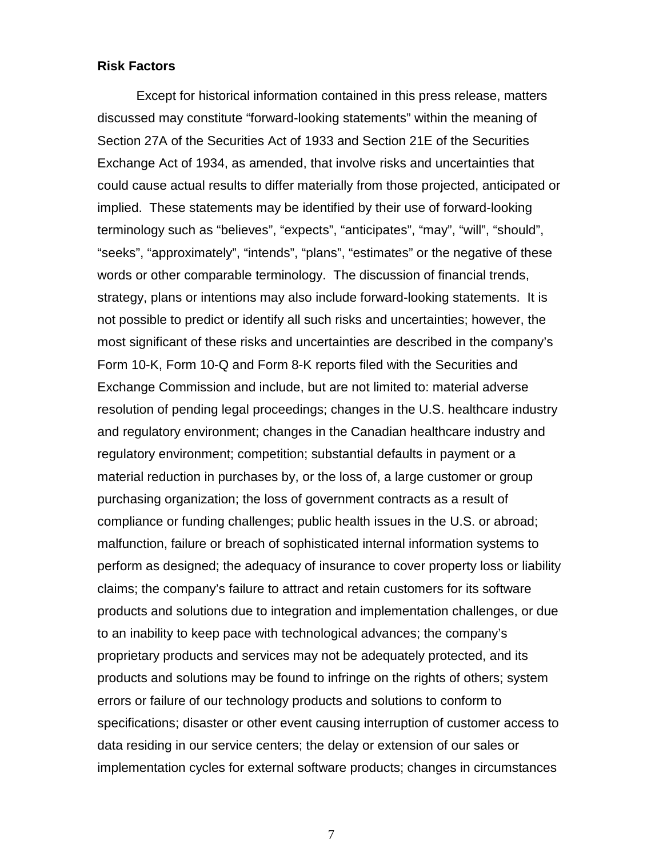### **Risk Factors**

Except for historical information contained in this press release, matters discussed may constitute "forward-looking statements" within the meaning of Section 27A of the Securities Act of 1933 and Section 21E of the Securities Exchange Act of 1934, as amended, that involve risks and uncertainties that could cause actual results to differ materially from those projected, anticipated or implied. These statements may be identified by their use of forward-looking terminology such as "believes", "expects", "anticipates", "may", "will", "should", "seeks", "approximately", "intends", "plans", "estimates" or the negative of these words or other comparable terminology. The discussion of financial trends, strategy, plans or intentions may also include forward-looking statements. It is not possible to predict or identify all such risks and uncertainties; however, the most significant of these risks and uncertainties are described in the company's Form 10-K, Form 10-Q and Form 8-K reports filed with the Securities and Exchange Commission and include, but are not limited to: material adverse resolution of pending legal proceedings; changes in the U.S. healthcare industry and regulatory environment; changes in the Canadian healthcare industry and regulatory environment; competition; substantial defaults in payment or a material reduction in purchases by, or the loss of, a large customer or group purchasing organization; the loss of government contracts as a result of compliance or funding challenges; public health issues in the U.S. or abroad; malfunction, failure or breach of sophisticated internal information systems to perform as designed; the adequacy of insurance to cover property loss or liability claims; the company's failure to attract and retain customers for its software products and solutions due to integration and implementation challenges, or due to an inability to keep pace with technological advances; the company's proprietary products and services may not be adequately protected, and its products and solutions may be found to infringe on the rights of others; system errors or failure of our technology products and solutions to conform to specifications; disaster or other event causing interruption of customer access to data residing in our service centers; the delay or extension of our sales or implementation cycles for external software products; changes in circumstances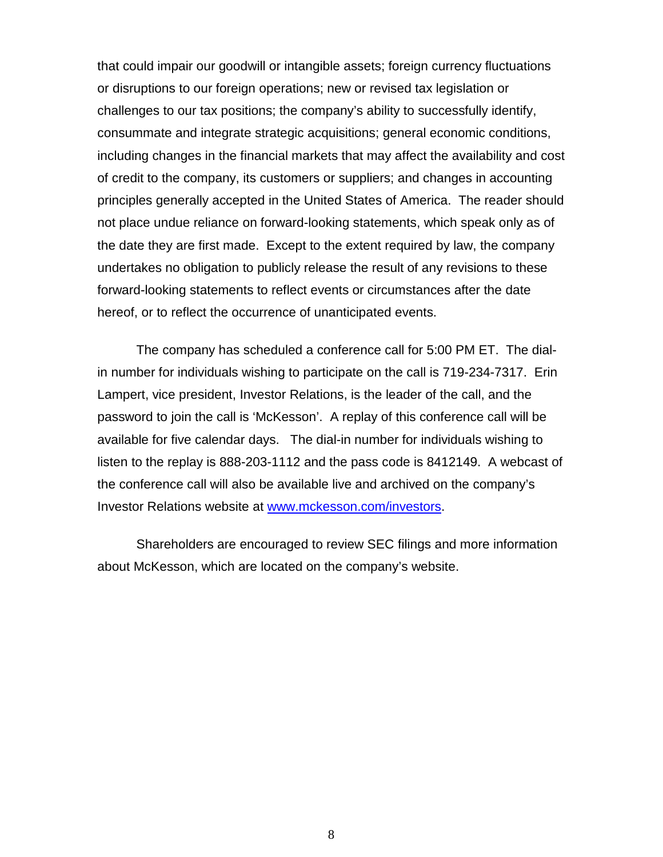that could impair our goodwill or intangible assets; foreign currency fluctuations or disruptions to our foreign operations; new or revised tax legislation or challenges to our tax positions; the company's ability to successfully identify, consummate and integrate strategic acquisitions; general economic conditions, including changes in the financial markets that may affect the availability and cost of credit to the company, its customers or suppliers; and changes in accounting principles generally accepted in the United States of America.The reader should not place undue reliance on forward-looking statements, which speak only as of the date they are first made. Except to the extent required by law, the company undertakes no obligation to publicly release the result of any revisions to these forward-looking statements to reflect events or circumstances after the date hereof, or to reflect the occurrence of unanticipated events.

The company has scheduled a conference call for 5:00 PM ET. The dialin number for individuals wishing to participate on the call is 719-234-7317. Erin Lampert, vice president, Investor Relations, is the leader of the call, and the password to join the call is 'McKesson'. A replay of this conference call will be available for five calendar days. The dial-in number for individuals wishing to listen to the replay is 888-203-1112 and the pass code is 8412149. A webcast of the conference call will also be available live and archived on the company's Investor Relations website at [www.mckesson.com/investors.](http://www.mckesson.com/investors)

Shareholders are encouraged to review SEC filings and more information about McKesson, which are located on the company's website.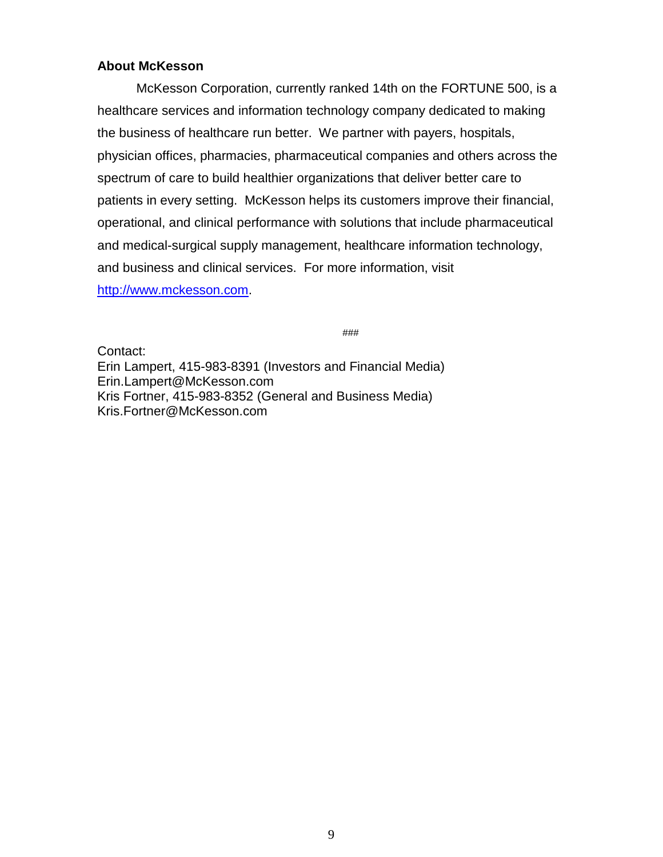## **About McKesson**

McKesson Corporation, currently ranked 14th on the FORTUNE 500, is a healthcare services and information technology company dedicated to making the business of healthcare run better. We partner with payers, hospitals, physician offices, pharmacies, pharmaceutical companies and others across the spectrum of care to build healthier organizations that deliver better care to patients in every setting. McKesson helps its customers improve their financial, operational, and clinical performance with solutions that include pharmaceutical and medical-surgical supply management, healthcare information technology, and business and clinical services. For more information, visit [http://www.mckesson.com.](http://www.mckesson.com/)

###

Contact:

Erin Lampert, 415-983-8391 (Investors and Financial Media) Erin.Lampert@McKesson.com Kris Fortner, 415-983-8352 (General and Business Media) Kris.Fortner@McKesson.com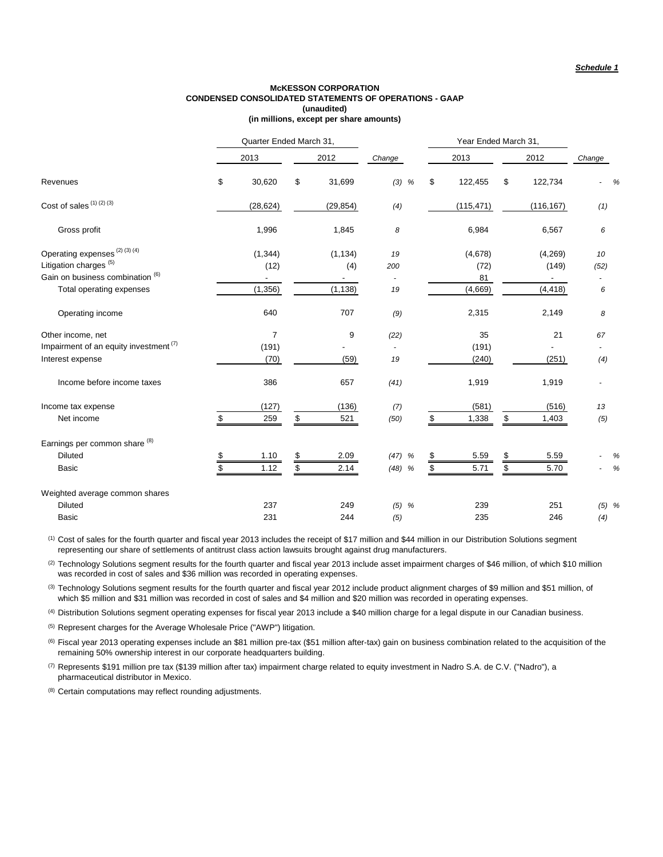#### **(in millions, except per share amounts) McKESSON CORPORATION CONDENSED CONSOLIDATED STATEMENTS OF OPERATIONS - GAAP (unaudited)**

|                                                                                                                                              |          | Quarter Ended March 31,      |          |                             |                      |          |                                  |          | Year Ended March 31,         |                 |           |
|----------------------------------------------------------------------------------------------------------------------------------------------|----------|------------------------------|----------|-----------------------------|----------------------|----------|----------------------------------|----------|------------------------------|-----------------|-----------|
|                                                                                                                                              |          | 2013                         |          | 2012                        | Change               |          | 2013                             |          | 2012                         | Change          |           |
| Revenues                                                                                                                                     | \$       | 30,620                       | \$       | 31,699                      | $(3)$ %              | \$       | 122,455                          | \$       | 122,734                      |                 | %         |
| Cost of sales (1) (2) (3)                                                                                                                    |          | (28, 624)                    |          | (29, 854)                   | (4)                  |          | (115, 471)                       |          | (116, 167)                   | (1)             |           |
| Gross profit                                                                                                                                 |          | 1,996                        |          | 1,845                       | 8                    |          | 6,984                            |          | 6,567                        | 6               |           |
| Operating expenses <sup>(2)(3)(4)</sup><br>Litigation charges <sup>(5)</sup><br>Gain on business combination (6)<br>Total operating expenses |          | (1, 344)<br>(12)<br>(1, 356) |          | (1, 134)<br>(4)<br>(1, 138) | 19<br>200<br>19      |          | (4,678)<br>(72)<br>81<br>(4,669) |          | (4,269)<br>(149)<br>(4, 418) | 10<br>(52)<br>6 |           |
| Operating income                                                                                                                             |          | 640                          |          | 707                         | (9)                  |          | 2,315                            |          | 2,149                        | 8               |           |
| Other income, net<br>Impairment of an equity investment <sup>(7)</sup><br>Interest expense                                                   |          | 7<br>(191)<br>(70)           |          | 9<br>(59)                   | (22)<br>19           |          | 35<br>(191)<br>(240)             |          | 21<br>(251)                  | 67<br>(4)       |           |
| Income before income taxes                                                                                                                   |          | 386                          |          | 657                         | (41)                 |          | 1,919                            |          | 1,919                        |                 |           |
| Income tax expense<br>Net income                                                                                                             | \$       | (127)<br>259                 | \$       | (136)<br>521                | (7)<br>(50)          | \$       | (581)<br>1,338                   | \$       | (516)<br>1,403               | 13<br>(5)       |           |
| Earnings per common share (8)<br><b>Diluted</b><br><b>Basic</b>                                                                              | S.<br>\$ | 1.10<br>1.12                 | \$<br>\$ | 2.09<br>2.14                | $(47)$ %<br>$(48)$ % | \$<br>\$ | 5.59<br>5.71                     | \$<br>\$ | 5.59<br>5.70                 |                 | %<br>$\%$ |
| Weighted average common shares<br><b>Diluted</b><br><b>Basic</b>                                                                             |          | 237<br>231                   |          | 249<br>244                  | $(5)$ %<br>(5)       |          | 239<br>235                       |          | 251<br>246                   | $(5)$ %<br>(4)  |           |

(1) Cost of sales for the fourth quarter and fiscal year 2013 includes the receipt of \$17 million and \$44 million in our Distribution Solutions segment representing our share of settlements of antitrust class action lawsuits brought against drug manufacturers.

<sup>(2)</sup> Technology Solutions segment results for the fourth quarter and fiscal year 2013 include asset impairment charges of \$46 million, of which \$10 million was recorded in cost of sales and \$36 million was recorded in operating expenses.

(3) Technology Solutions segment results for the fourth quarter and fiscal year 2012 include product alignment charges of \$9 million and \$51 million, of which \$5 million and \$31 million was recorded in cost of sales and \$4 million and \$20 million was recorded in operating expenses.

(4) Distribution Solutions segment operating expenses for fiscal year 2013 include a \$40 million charge for a legal dispute in our Canadian business.

(5) Represent charges for the Average Wholesale Price ("AWP") litigation.

(6) Fiscal year 2013 operating expenses include an \$81 million pre-tax (\$51 million after-tax) gain on business combination related to the acquisition of the remaining 50% ownership interest in our corporate headquarters building.

 $^{(7)}$  Represents \$191 million pre tax (\$139 million after tax) impairment charge related to equity investment in Nadro S.A. de C.V. ("Nadro"), a pharmaceutical distributor in Mexico.

<sup>(8)</sup> Certain computations may reflect rounding adjustments.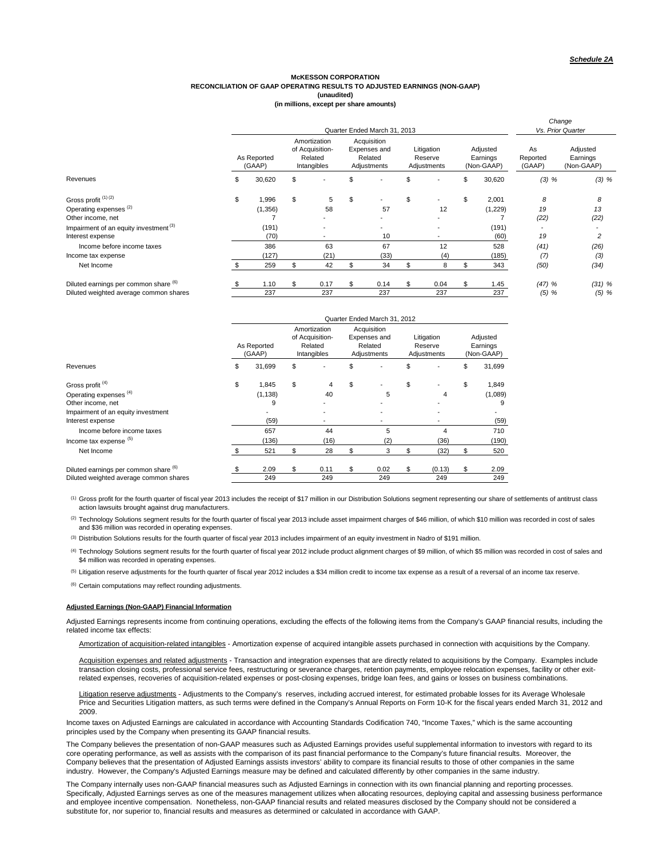#### **RECONCILIATION OF GAAP OPERATING RESULTS TO ADJUSTED EARNINGS (NON-GAAP) McKESSON CORPORATION (unaudited)**

|                                                   |             |                       |                                                           | Quarter Ended March 31, 2013                          |                                      |                                    |                          | Change<br>Vs. Prior Quarter        |
|---------------------------------------------------|-------------|-----------------------|-----------------------------------------------------------|-------------------------------------------------------|--------------------------------------|------------------------------------|--------------------------|------------------------------------|
|                                                   |             | As Reported<br>(GAAP) | Amortization<br>of Acquisition-<br>Related<br>Intangibles | Acquisition<br>Expenses and<br>Related<br>Adjustments | Litigation<br>Reserve<br>Adjustments | Adjusted<br>Earnings<br>(Non-GAAP) | As<br>Reported<br>(GAAP) | Adjusted<br>Earnings<br>(Non-GAAP) |
| Revenues                                          | 30,620<br>ъ |                       | \$                                                        |                                                       | \$                                   | \$<br>30,620                       | (3) %                    | (3) %                              |
| Gross profit <sup>(1)(2)</sup>                    | \$          | 1,996                 | \$<br>5                                                   | \$                                                    | \$                                   | \$<br>2,001                        | 8                        | 8                                  |
| Operating expenses <sup>(2)</sup>                 |             | (1,356)               | 58                                                        | 57                                                    | 12                                   | (1,229)                            | 19                       | 13                                 |
| Other income, net                                 |             |                       |                                                           |                                                       |                                      |                                    | (22)                     | (22)                               |
| Impairment of an equity investment <sup>(3)</sup> |             | (191)                 | $\overline{\phantom{0}}$                                  |                                                       |                                      | (191)                              |                          |                                    |
| Interest expense                                  |             | (70)                  |                                                           | 10                                                    |                                      | (60)                               | 19                       | 2                                  |
| Income before income taxes                        |             | 386                   | 63                                                        | 67                                                    | 12                                   | 528                                | (41)                     | (26)                               |
| Income tax expense                                |             | (127)                 | (21)                                                      | (33)                                                  | (4)                                  | (185)                              | (7)                      | (3)                                |
| Net Income                                        |             | 259                   | 42                                                        | 34                                                    | 8                                    | \$<br>343                          | (50)                     | (34)                               |
| Diluted earnings per common share (6)             |             | 1.10                  | 0.17                                                      | 0.14                                                  | 0.04                                 | \$<br>1.45                         | $(47)$ %                 | $(31)$ %                           |
| Diluted weighted average common shares            |             | 237                   | 237                                                       | 237                                                   | 237                                  | 237                                | $(5)$ %                  | (5) %                              |

|                                        |                       |                                                           | Quarter Ended March 31, 2012                          |                                      |                                    |
|----------------------------------------|-----------------------|-----------------------------------------------------------|-------------------------------------------------------|--------------------------------------|------------------------------------|
|                                        | As Reported<br>(GAAP) | Amortization<br>of Acquisition-<br>Related<br>Intangibles | Acquisition<br>Expenses and<br>Related<br>Adjustments | Litigation<br>Reserve<br>Adjustments | Adjusted<br>Earnings<br>(Non-GAAP) |
| Revenues                               | \$<br>31,699          | \$                                                        | \$                                                    | \$                                   | \$<br>31,699                       |
| Gross profit <sup>(4)</sup>            | \$<br>1,845           | \$<br>4                                                   | \$                                                    | \$                                   | \$<br>1,849                        |
| Operating expenses <sup>(4)</sup>      | (1, 138)              | 40                                                        | 5                                                     | 4                                    | (1,089)                            |
| Other income, net                      | 9                     |                                                           |                                                       |                                      | 9                                  |
| Impairment of an equity investment     |                       |                                                           |                                                       |                                      |                                    |
| Interest expense                       | (59)                  | $\overline{\phantom{0}}$                                  |                                                       |                                      | (59)                               |
| Income before income taxes             | 657                   | 44                                                        | 5                                                     | 4                                    | 710                                |
| Income tax expense (5)                 | (136)                 | (16)                                                      | (2)                                                   | (36)                                 | (190)                              |
| Net Income                             | 521                   | \$<br>28                                                  | \$<br>3                                               | \$<br>(32)                           | \$<br>520                          |
| Diluted earnings per common share (6)  | 2.09                  | \$<br>0.11                                                | \$<br>0.02                                            | \$<br>(0.13)                         | \$<br>2.09                         |
| Diluted weighted average common shares | 249                   | 249                                                       | 249                                                   | 249                                  | 249                                |

(1) Gross profit for the fourth quarter of fiscal year 2013 includes the receipt of \$17 million in our Distribution Solutions segment representing our share of settlements of antitrust class action lawsuits brought against drug manufacturers.

(2) Technology Solutions segment results for the fourth quarter of fiscal year 2013 include asset impairment charges of \$46 million, of which \$10 million was recorded in cost of sales and \$36 million was recorded in operating expenses.

(3) Distribution Solutions results for the fourth quarter of fiscal year 2013 includes impairment of an equity investment in Nadro of \$191 million.

(4) Technology Solutions segment results for the fourth quarter of fiscal year 2012 include product alignment charges of \$9 million, of which \$5 million was recorded in cost of sales and \$4 million was recorded in operating expenses.

<sup>(5)</sup> Litigation reserve adjustments for the fourth quarter of fiscal year 2012 includes a \$34 million credit to income tax expense as a result of a reversal of an income tax reserve.

<sup>(6)</sup> Certain computations may reflect rounding adjustments.

#### **Adjusted Earnings (Non-GAAP) Financial Information**

Adjusted Earnings represents income from continuing operations, excluding the effects of the following items from the Company's GAAP financial results, including the related income tax effects:

Amortization of acquisition-related intangibles - Amortization expense of acquired intangible assets purchased in connection with acquisitions by the Company.

Acquisition expenses and related adjustments - Transaction and integration expenses that are directly related to acquisitions by the Company. Examples include transaction closing costs, professional service fees, restructuring or severance charges, retention payments, employee relocation expenses, facility or other exitrelated expenses, recoveries of acquisition-related expenses or post-closing expenses, bridge loan fees, and gains or losses on business combinations.

Litigation reserve adjustments - Adjustments to the Company's reserves, including accrued interest, for estimated probable losses for its Average Wholesale Price and Securities Litigation matters, as such terms were defined in the Company's Annual Reports on Form 10-K for the fiscal years ended March 31, 2012 and 2009.

Income taxes on Adjusted Earnings are calculated in accordance with Accounting Standards Codification 740, "Income Taxes," which is the same accounting principles used by the Company when presenting its GAAP financial results.

The Company believes the presentation of non-GAAP measures such as Adjusted Earnings provides useful supplemental information to investors with regard to its core operating performance, as well as assists with the comparison of its past financial performance to the Company's future financial results. Moreover, the Company believes that the presentation of Adjusted Earnings assists investors' ability to compare its financial results to those of other companies in the same industry. However, the Company's Adjusted Earnings measure may be defined and calculated differently by other companies in the same industry.

The Company internally uses non-GAAP financial measures such as Adjusted Earnings in connection with its own financial planning and reporting processes. Specifically, Adjusted Earnings serves as one of the measures management utilizes when allocating resources, deploying capital and assessing business performance and employee incentive compensation. Nonetheless, non-GAAP financial results and related measures disclosed by the Company should not be considered a substitute for, nor superior to, financial results and measures as determined or calculated in accordance with GAAP.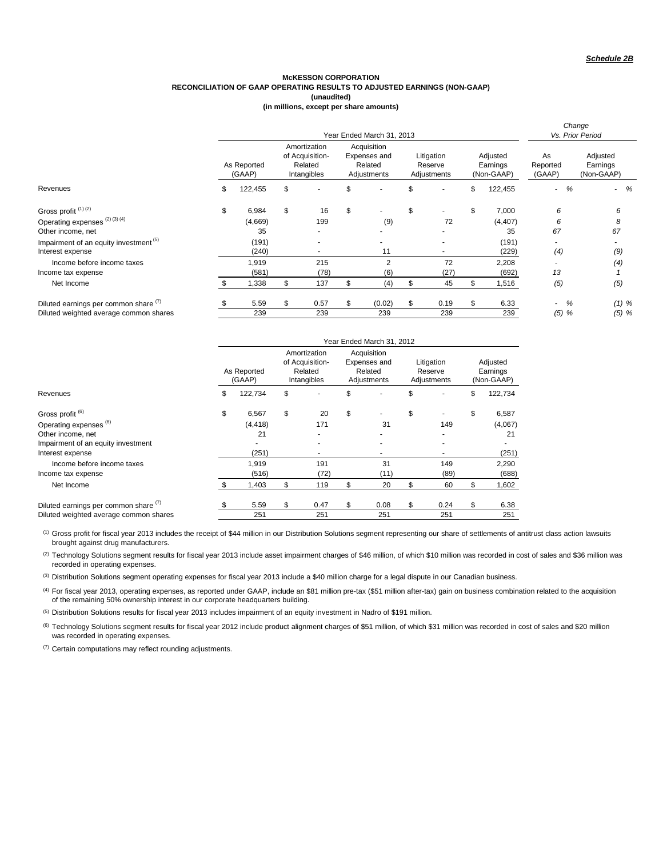#### **McKESSON CORPORATION RECONCILIATION OF GAAP OPERATING RESULTS TO ADJUSTED EARNINGS (NON-GAAP) (unaudited)**

**(in millions, except per share amounts)**

|                                                   |    |                       |    |                                                           |                                                       | Year Ended March 31, 2013 |                                      |                          |                                    |                          | Change<br>Vs. Prior Period         |
|---------------------------------------------------|----|-----------------------|----|-----------------------------------------------------------|-------------------------------------------------------|---------------------------|--------------------------------------|--------------------------|------------------------------------|--------------------------|------------------------------------|
|                                                   |    | As Reported<br>(GAAP) |    | Amortization<br>of Acquisition-<br>Related<br>Intangibles | Acquisition<br>Expenses and<br>Related<br>Adjustments |                           | Litigation<br>Reserve<br>Adjustments |                          | Adjusted<br>Earnings<br>(Non-GAAP) | As<br>Reported<br>(GAAP) | Adjusted<br>Earnings<br>(Non-GAAP) |
| Revenues                                          | S  | 122,455               | \$ |                                                           |                                                       |                           | \$                                   |                          | \$<br>122,455                      | %<br>$\sim$              | $-$ %                              |
| Gross profit <sup>(1)(2)</sup>                    | \$ | 6,984                 | \$ | 16                                                        | \$                                                    |                           | \$                                   | $\overline{\phantom{a}}$ | \$<br>7,000                        | 6                        | 6                                  |
| Operating expenses <sup>(2)(3)(4)</sup>           |    | (4,669)               |    | 199                                                       |                                                       | (9)                       |                                      | 72                       | (4, 407)                           | 6                        | 8                                  |
| Other income, net                                 |    | 35                    |    |                                                           |                                                       |                           |                                      |                          | 35                                 | 67                       | 67                                 |
| Impairment of an equity investment <sup>(5)</sup> |    | (191)                 |    |                                                           |                                                       |                           |                                      |                          | (191)                              |                          |                                    |
| Interest expense                                  |    | (240)                 |    |                                                           |                                                       | 11                        |                                      |                          | (229)                              | (4)                      | (9)                                |
| Income before income taxes                        |    | 1,919                 |    | 215                                                       |                                                       | 2                         |                                      | 72                       | 2,208                              |                          | (4)                                |
| Income tax expense                                |    | (581)                 |    | (78)                                                      |                                                       | (6)                       |                                      | (27)                     | (692)                              | 13                       |                                    |
| Net Income                                        |    | 1,338                 |    | 137                                                       |                                                       | (4)                       | £.                                   | 45                       | \$<br>1,516                        | (5)                      | (5)                                |
| Diluted earnings per common share (1)             |    | 5.59                  |    | 0.57                                                      |                                                       | (0.02)                    | \$                                   | 0.19                     | \$<br>6.33                         | %                        | $(1)$ %                            |
| Diluted weighted average common shares            |    | 239                   |    | 239                                                       |                                                       | 239                       |                                      | 239                      | 239                                | (5) %                    | $(5)$ %                            |

|                                        |     |                       |                                                                                                                                                            |      |    | Year Ended March 31, 2012 |                                    |               |
|----------------------------------------|-----|-----------------------|------------------------------------------------------------------------------------------------------------------------------------------------------------|------|----|---------------------------|------------------------------------|---------------|
|                                        |     | As Reported<br>(GAAP) | Amortization<br>Acquisition<br>of Acquisition-<br>Expenses and<br>Litigation<br>Related<br>Related<br>Reserve<br>Intangibles<br>Adjustments<br>Adjustments |      |    |                           | Adjusted<br>Earnings<br>(Non-GAAP) |               |
| Revenues                               | \$  | 122,734               | \$                                                                                                                                                         | ۰    | \$ |                           | \$                                 | \$<br>122,734 |
| Gross profit <sup>(6)</sup>            | \$  | 6,567                 | \$                                                                                                                                                         | 20   | \$ |                           | \$                                 | \$<br>6,587   |
| Operating expenses (6)                 |     | (4, 418)              |                                                                                                                                                            | 171  |    | 31                        | 149                                | (4,067)       |
| Other income, net                      |     | 21                    |                                                                                                                                                            |      |    |                           |                                    | 21            |
| Impairment of an equity investment     |     |                       |                                                                                                                                                            |      |    |                           |                                    |               |
| Interest expense                       |     | (251)                 |                                                                                                                                                            |      |    |                           |                                    | (251)         |
| Income before income taxes             |     | 1.919                 |                                                                                                                                                            | 191  |    | 31                        | 149                                | 2,290         |
| Income tax expense                     |     | (516)                 |                                                                                                                                                            | (72) |    | (11)                      | (89)                               | (688)         |
| Net Income                             |     | 1,403                 | \$                                                                                                                                                         | 119  | \$ | 20                        | \$<br>60                           | \$<br>1,602   |
| Diluted earnings per common share (1)  | \$. | 5.59                  | \$                                                                                                                                                         | 0.47 | \$ | 0.08                      | \$<br>0.24                         | \$<br>6.38    |
| Diluted weighted average common shares |     | 251                   |                                                                                                                                                            | 251  |    | 251                       | 251                                | 251           |

 $^{(1)}$  Gross profit for fiscal year 2013 includes the receipt of \$44 million in our Distribution Solutions segment representing our share of settlements of antitrust class action lawsuits brought against drug manufacturers.

(2) Technology Solutions segment results for fiscal year 2013 include asset impairment charges of \$46 million, of which \$10 million was recorded in cost of sales and \$36 million was recorded in operating expenses.

<sup>(3)</sup> Distribution Solutions segment operating expenses for fiscal year 2013 include a \$40 million charge for a legal dispute in our Canadian business.

(4) For fiscal year 2013, operating expenses, as reported under GAAP, include an \$81 million pre-tax (\$51 million after-tax) gain on business combination related to the acquisition of the remaining 50% ownership interest in our corporate headquarters building.

(5) Distribution Solutions results for fiscal year 2013 includes impairment of an equity investment in Nadro of \$191 million.

<sup>(6)</sup> Technology Solutions segment results for fiscal year 2012 include product alignment charges of \$51 million, of which \$31 million was recorded in cost of sales and \$20 million was recorded in operating expenses.

 $(7)$  Certain computations may reflect rounding adjustments.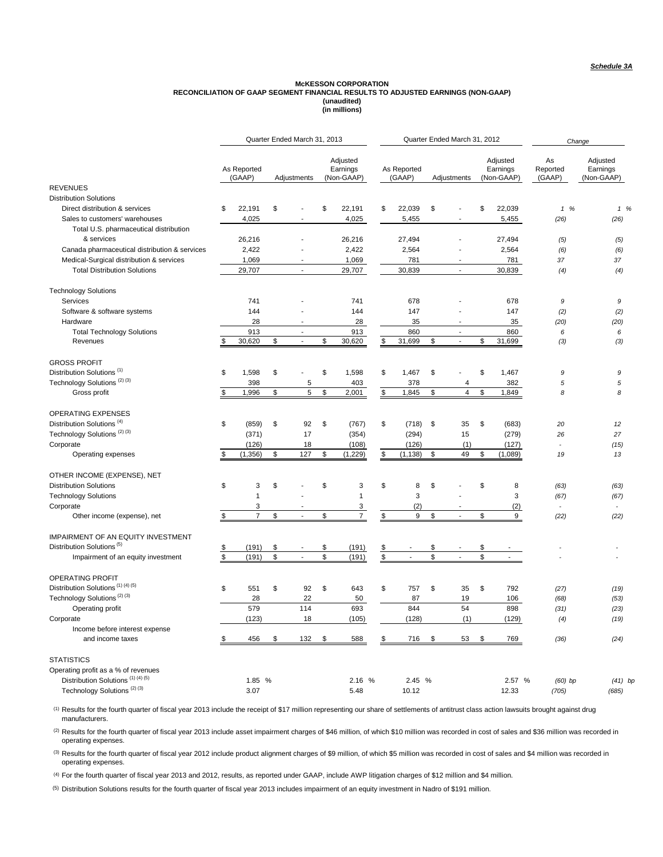# McKESSON CORPORATION<br>RECONCILIATION OF GAAP SEGMENT FINANCIAL RESULTS TO ADJUSTED EARNINGS (NON-GAAP) **(unaudited) (in millions)**

|                                                              |                       | Quarter Ended March 31, 2013   |                                    |                       | Quarter Ended March 31, 2012  |                                    |                          | Change                             |
|--------------------------------------------------------------|-----------------------|--------------------------------|------------------------------------|-----------------------|-------------------------------|------------------------------------|--------------------------|------------------------------------|
|                                                              | As Reported<br>(GAAP) | Adjustments                    | Adjusted<br>Earnings<br>(Non-GAAP) | As Reported<br>(GAAP) | Adjustments                   | Adjusted<br>Earnings<br>(Non-GAAP) | As<br>Reported<br>(GAAP) | Adjusted<br>Earnings<br>(Non-GAAP) |
| <b>REVENUES</b>                                              |                       |                                |                                    |                       |                               |                                    |                          |                                    |
| <b>Distribution Solutions</b>                                |                       |                                |                                    |                       |                               |                                    |                          |                                    |
| Direct distribution & services                               | \$<br>22,191          | \$                             | \$<br>22,191                       | \$<br>22,039          | \$                            | \$<br>22,039                       | 1%                       | 1%                                 |
| Sales to customers' warehouses                               | 4,025                 |                                | 4,025                              | 5,455                 |                               | 5,455                              | (26)                     | (26)                               |
| Total U.S. pharmaceutical distribution                       |                       |                                |                                    |                       |                               |                                    |                          |                                    |
| & services                                                   | 26,216                | ÷.                             | 26,216                             | 27,494                | ÷.                            | 27,494                             | (5)                      | (5)                                |
| Canada pharmaceutical distribution & services                | 2,422                 |                                | 2,422                              | 2,564                 |                               | 2,564                              | (6)                      | (6)                                |
| Medical-Surgical distribution & services                     | 1,069                 |                                | 1,069                              | 781                   |                               | 781                                | 37                       | 37                                 |
| <b>Total Distribution Solutions</b>                          | 29,707                | $\overline{\phantom{a}}$       | 29,707                             | 30,839                | $\sim$                        | 30,839                             | (4)                      | (4)                                |
| <b>Technology Solutions</b>                                  |                       |                                |                                    |                       |                               |                                    |                          |                                    |
| Services                                                     | 741                   |                                | 741                                | 678                   |                               | 678                                | 9                        | 9                                  |
| Software & software systems                                  | 144                   |                                | 144                                | 147                   |                               | 147                                | (2)                      | (2)                                |
| Hardware                                                     | 28                    | $\overline{a}$                 | 28                                 | 35                    | $\overline{\phantom{a}}$      | 35                                 | (20)                     | (20)                               |
| <b>Total Technology Solutions</b>                            | 913                   | $\overline{a}$                 | 913                                | 860                   | $\ddot{\phantom{a}}$          | 860                                | 6                        | 6                                  |
| Revenues                                                     | 30,620                | \$<br>$\mathcal{L}$            | \$<br>30,620                       | \$<br>31,699          | \$<br>$\sim$                  | \$<br>31,699                       | (3)                      | (3)                                |
| <b>GROSS PROFIT</b>                                          |                       |                                |                                    |                       |                               |                                    |                          |                                    |
| Distribution Solutions <sup>(1)</sup>                        | \$<br>1,598           | \$                             | \$<br>1,598                        | \$<br>1,467           | \$                            | \$<br>1,467                        | 9                        | 9                                  |
| Technology Solutions <sup>(2)(3)</sup>                       | 398                   | 5                              | 403                                | 378                   | $\overline{4}$                | 382                                | 5                        | 5                                  |
| Gross profit                                                 | \$<br>1,996           | \$<br>5                        | \$<br>2,001                        | \$<br>1,845           | \$<br>$\overline{\mathbf{4}}$ | \$<br>1,849                        | 8                        | 8                                  |
| <b>OPERATING EXPENSES</b>                                    |                       |                                |                                    |                       |                               |                                    |                          |                                    |
| Distribution Solutions <sup>(4)</sup>                        | \$<br>(859)           | \$<br>92                       | \$<br>(767)                        | \$<br>(718)           | \$<br>35                      | \$<br>(683)                        | 20                       | 12                                 |
| Technology Solutions <sup>(2)(3)</sup>                       | (371)                 | 17                             | (354)                              | (294)                 | 15                            | (279)                              | 26                       | 27                                 |
| Corporate                                                    | (126)                 | 18                             | (108)                              | (126)                 | (1)                           | (127)                              |                          | (15)                               |
| Operating expenses                                           | \$<br>(1, 356)        | \$<br>127                      | \$<br>(1, 229)                     | \$<br>(1, 138)        | \$<br>49                      | \$<br>(1,089)                      | 19                       | 13                                 |
|                                                              |                       |                                |                                    |                       |                               |                                    |                          |                                    |
| OTHER INCOME (EXPENSE), NET                                  | \$                    | \$                             | \$                                 |                       |                               | \$                                 |                          |                                    |
| <b>Distribution Solutions</b><br><b>Technology Solutions</b> | 3<br>1                |                                | 3<br>$\mathbf{1}$                  | \$<br>8<br>3          | \$                            | 8<br>3                             | (63)                     | (63)                               |
| Corporate                                                    | 3                     |                                | 3                                  | (2)                   |                               | (2)                                | (67)                     | (67)                               |
| Other income (expense), net                                  | \$<br>$\overline{7}$  | \$<br>$\overline{\phantom{a}}$ | \$<br>$\overline{7}$               | \$<br>9               | \$<br>$\overline{a}$          | \$<br>9                            | (22)                     | (22)                               |
|                                                              |                       |                                |                                    |                       |                               |                                    |                          |                                    |
| <b>IMPAIRMENT OF AN EQUITY INVESTMENT</b>                    |                       |                                |                                    |                       |                               |                                    |                          |                                    |
| Distribution Solutions <sup>(5)</sup>                        | \$<br>(191)           | \$<br>L.                       | \$<br>(191)                        |                       | \$<br>$\overline{a}$          | \$<br>L.                           |                          |                                    |
| Impairment of an equity investment                           | \$<br>(191)           | \$                             | \$<br>(191)                        | \$                    | \$                            | \$                                 |                          |                                    |
| <b>OPERATING PROFIT</b>                                      |                       |                                |                                    |                       |                               |                                    |                          |                                    |
| Distribution Solutions <sup>(1)(4)(5)</sup>                  | \$<br>551             | \$<br>92                       | \$<br>643                          | \$<br>757             | \$<br>35                      | \$<br>792                          | (27)                     | (19)                               |
| Technology Solutions <sup>(2)(3)</sup>                       | 28                    | 22                             | 50                                 | 87                    | 19                            | 106                                | (68)                     | (53)                               |
| Operating profit                                             | 579                   | 114                            | 693                                | 844                   | 54                            | 898                                | (31)                     | (23)                               |
| Corporate                                                    | (123)                 | 18                             | (105)                              | (128)                 | (1)                           | (129)                              | (4)                      | (19)                               |
| Income before interest expense                               |                       |                                |                                    |                       |                               |                                    |                          |                                    |
| and income taxes                                             | 456                   | \$<br>132                      | \$<br>588                          | 716                   | \$<br>53                      | \$<br>769                          | (36)                     | (24)                               |
| <b>STATISTICS</b>                                            |                       |                                |                                    |                       |                               |                                    |                          |                                    |
| Operating profit as a % of revenues                          |                       |                                |                                    |                       |                               |                                    |                          |                                    |
| Distribution Solutions <sup>(1)(4)(5)</sup>                  | 1.85 %                |                                | 2.16 %                             | 2.45 %                |                               | 2.57 %                             | $(60)$ bp                | $(41)$ by                          |
| Technology Solutions <sup>(2)(3)</sup>                       | 3.07                  |                                | 5.48                               | 10.12                 |                               | 12.33                              | (705)                    | (685)                              |

(1) Results for the fourth quarter of fiscal year 2013 include the receipt of \$17 million representing our share of settlements of antitrust class action lawsuits brought against drug manufacturers.

(2) Results for the fourth quarter of fiscal year 2013 include asset impairment charges of \$46 million, of which \$10 million was recorded in cost of sales and \$36 million was recorded in operating expenses.

<sup>(3)</sup> Results for the fourth quarter of fiscal year 2012 include product alignment charges of \$9 million, of which \$5 million was recorded in cost of sales and \$4 million was recorded in operating expenses.

(4) For the fourth quarter of fiscal year 2013 and 2012, results, as reported under GAAP, include AWP litigation charges of \$12 million and \$4 million.

(5) Distribution Solutions results for the fourth quarter of fiscal year 2013 includes impairment of an equity investment in Nadro of \$191 million.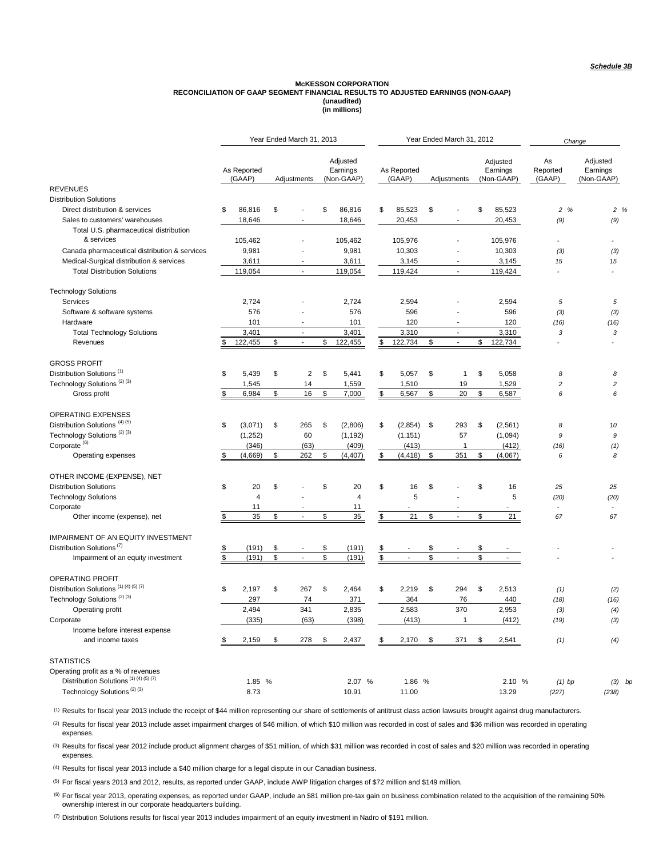## **(in millions) (unaudited)** McKESSON CORPORATION<br>RECONCILIATION OF GAAP SEGMENT FINANCIAL RESULTS TO ADJUSTED EARNINGS (NON-GAAP)

|                                                |                       |               | Year Ended March 31, 2013   |                                    |     |                       | Year Ended March 31, 2012      |                                    | Change                   |                                    |
|------------------------------------------------|-----------------------|---------------|-----------------------------|------------------------------------|-----|-----------------------|--------------------------------|------------------------------------|--------------------------|------------------------------------|
|                                                | As Reported<br>(GAAP) |               | Adjustments                 | Adjusted<br>Earnings<br>(Non-GAAP) |     | As Reported<br>(GAAP) | Adjustments                    | Adjusted<br>Earnings<br>(Non-GAAP) | As<br>Reported<br>(GAAP) | Adjusted<br>Earnings<br>(Non-GAAP) |
| <b>REVENUES</b>                                |                       |               |                             |                                    |     |                       |                                |                                    |                          |                                    |
| <b>Distribution Solutions</b>                  |                       |               |                             |                                    |     |                       |                                |                                    |                          |                                    |
| Direct distribution & services                 | \$<br>86,816          | \$            |                             | \$<br>86,816                       | \$  | 85,523                | \$                             | \$<br>85,523                       | 2 %                      | 2%                                 |
| Sales to customers' warehouses                 | 18,646                |               |                             | 18,646                             |     | 20,453                |                                | 20,453                             | (9)                      | (9)                                |
| Total U.S. pharmaceutical distribution         |                       |               |                             |                                    |     |                       |                                |                                    |                          |                                    |
| & services                                     | 105,462               |               |                             | 105.462                            |     | 105,976               |                                | 105.976                            | $\blacksquare$           |                                    |
| Canada pharmaceutical distribution & services  | 9,981                 |               |                             | 9,981                              |     | 10,303                |                                | 10,303                             | (3)                      | (3)                                |
| Medical-Surgical distribution & services       | 3,611                 |               |                             | 3,611                              |     | 3,145                 |                                | 3,145                              | 15                       | 15                                 |
| <b>Total Distribution Solutions</b>            | 119,054               |               | $\mathcal{L}_{\mathcal{A}}$ | 119,054                            |     | 119,424               | $\mathbf{r}$                   | 119,424                            | $\overline{\phantom{a}}$ |                                    |
| <b>Technology Solutions</b>                    |                       |               |                             |                                    |     |                       |                                |                                    |                          |                                    |
| Services                                       | 2,724                 |               |                             | 2,724                              |     | 2,594                 |                                | 2,594                              | 5                        | 5                                  |
| Software & software systems                    | 576                   |               |                             | 576                                |     | 596                   |                                | 596                                | (3)                      | (3)                                |
| Hardware                                       | 101                   |               | Ĭ.                          | 101                                |     | 120                   |                                | 120                                | (16)                     | (16)                               |
| <b>Total Technology Solutions</b>              | 3,401                 |               | ÷,                          | 3,401                              |     | 3,310                 | $\sim$                         | 3,310                              | 3                        | 3                                  |
| Revenues                                       | 122,455               | \$            | $\mathcal{L}$               | \$<br>122,455                      | \$. | 122,734               | \$<br>$\overline{\phantom{a}}$ | \$<br>122,734                      | $\overline{\phantom{a}}$ |                                    |
| <b>GROSS PROFIT</b>                            |                       |               |                             |                                    |     |                       |                                |                                    |                          |                                    |
| Distribution Solutions <sup>(1)</sup>          | \$<br>5,439           | \$            | $\overline{2}$              | \$<br>5,441                        | \$  | 5,057                 | \$<br>1                        | \$<br>5,058                        | 8                        | 8                                  |
| Technology Solutions <sup>(2)(3)</sup>         | 1,545                 |               | 14                          | 1,559                              |     | 1,510                 | 19                             | 1,529                              | $\overline{\mathbf{c}}$  | 2                                  |
| Gross profit                                   | \$<br>6,984           | \$            | 16                          | \$<br>7,000                        | \$  | 6,567                 | \$<br>20                       | \$<br>6,587                        | 6                        | 6                                  |
| <b>OPERATING EXPENSES</b>                      |                       |               |                             |                                    |     |                       |                                |                                    |                          |                                    |
| Distribution Solutions <sup>(4)(5)</sup>       | \$<br>(3,071)         | \$            | 265                         | \$<br>(2,806)                      | \$  | (2,854)               | \$<br>293                      | \$<br>(2, 561)                     | 8                        | 10                                 |
| Technology Solutions <sup>(2)(3)</sup>         | (1, 252)              |               | 60                          | (1, 192)                           |     | (1, 151)              | 57                             | (1,094)                            | 9                        | 9                                  |
| Corporate <sup>(6)</sup>                       | (346)                 |               | (63)                        | (409)                              |     | (413)                 | 1                              | (412)                              | (16)                     | (1)                                |
| Operating expenses                             | (4,669)               | \$            | 262                         | \$<br>(4, 407)                     |     | (4, 418)              | \$<br>351                      | \$<br>(4,067)                      | 6                        | 8                                  |
| OTHER INCOME (EXPENSE), NET                    |                       |               |                             |                                    |     |                       |                                |                                    |                          |                                    |
| <b>Distribution Solutions</b>                  | \$<br>20              | \$            |                             | \$<br>20                           | \$  | 16                    | \$                             | \$<br>16                           | 25                       | 25                                 |
| <b>Technology Solutions</b>                    | 4                     |               |                             | $\overline{4}$                     |     | 5                     |                                | 5                                  | (20)                     | (20)                               |
| Corporate                                      | 11                    |               |                             | 11                                 |     |                       |                                |                                    | ä,                       |                                    |
| Other income (expense), net                    | \$<br>35              | \$            | ÷,                          | \$<br>35                           | \$  | 21                    | \$<br>$\overline{\phantom{a}}$ | \$<br>21                           | 67                       | 67                                 |
| IMPAIRMENT OF AN EQUITY INVESTMENT             |                       |               |                             |                                    |     |                       |                                |                                    |                          |                                    |
| Distribution Solutions <sup>(7)</sup>          | \$<br>(191)           | \$            |                             | \$<br>(191)                        |     |                       | \$                             | \$                                 |                          |                                    |
| Impairment of an equity investment             | \$<br>(191)           | ${\mathbb S}$ |                             | \$<br>(191)                        | \$  |                       | \$                             | \$                                 |                          |                                    |
|                                                |                       |               |                             |                                    |     |                       |                                |                                    |                          |                                    |
| OPERATING PROFIT                               |                       |               |                             |                                    |     |                       |                                |                                    |                          |                                    |
| Distribution Solutions <sup>(1)(4)(5)(7)</sup> | \$<br>2,197           | \$            | 267                         | \$<br>2,464                        | \$  | 2,219                 | \$<br>294                      | \$<br>2,513                        | (1)                      | (2)                                |
| Technology Solutions <sup>(2)(3)</sup>         | 297                   |               | 74                          | 371                                |     | 364                   | 76                             | 440                                | (18)                     | (16)                               |
| Operating profit                               | 2,494                 |               | 341                         | 2,835                              |     | 2,583                 | 370                            | 2,953                              | (3)                      | (4)                                |
| Corporate                                      | (335)                 |               | (63)                        | (398)                              |     | (413)                 | $\mathbf{1}$                   | (412)                              | (19)                     | (3)                                |
| Income before interest expense                 |                       |               |                             |                                    |     |                       |                                |                                    |                          |                                    |
| and income taxes                               | 2,159                 | \$            | 278                         | \$<br>2,437                        |     | 2,170                 | \$<br>371                      | \$<br>2,541                        | (1)                      | (4)                                |
| <b>STATISTICS</b>                              |                       |               |                             |                                    |     |                       |                                |                                    |                          |                                    |
| Operating profit as a % of revenues            |                       |               |                             |                                    |     |                       |                                |                                    |                          |                                    |
| Distribution Solutions <sup>(1)(4)(5)(7)</sup> | 1.85 %                |               |                             | 2.07 %                             |     | 1.86 %                |                                | 2.10 %                             | $(1)$ bp                 | $(3)$ by                           |
| Technology Solutions <sup>(2)(3)</sup>         | 8.73                  |               |                             | 10.91                              |     | 11.00                 |                                | 13.29                              | (227)                    | (238)                              |

(1) Results for fiscal year 2013 include the receipt of \$44 million representing our share of settlements of antitrust class action lawsuits brought against drug manufacturers.

(2) Results for fiscal year 2013 include asset impairment charges of \$46 million, of which \$10 million was recorded in cost of sales and \$36 million was recorded in operating expenses.

(3) Results for fiscal year 2012 include product alignment charges of \$51 million, of which \$31 million was recorded in cost of sales and \$20 million was recorded in operating expenses.

(4) Results for fiscal year 2013 include a \$40 million charge for a legal dispute in our Canadian business.

(5) For fiscal years 2013 and 2012, results, as reported under GAAP, include AWP litigation charges of \$72 million and \$149 million.

<sup>(6)</sup> For fiscal year 2013, operating expenses, as reported under GAAP, include an \$81 million pre-tax gain on business combination related to the acquisition of the remaining 50% ownership interest in our corporate headquarters building.

(7) Distribution Solutions results for fiscal year 2013 includes impairment of an equity investment in Nadro of \$191 million.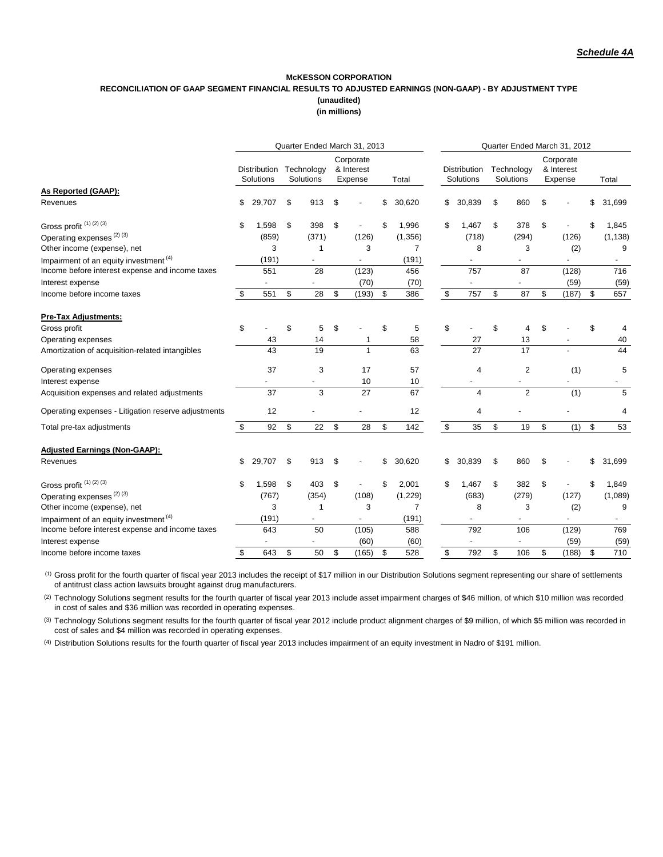### **McKESSON CORPORATION RECONCILIATION OF GAAP SEGMENT FINANCIAL RESULTS TO ADJUSTED EARNINGS (NON-GAAP) - BY ADJUSTMENT TYPE (unaudited)**

**(in millions)**

|                                                     | Quarter Ended March 31, 2013 |                           |    |                         |    |                                    |    |                | Quarter Ended March 31, 2012 |                           |    |                         |    |                                    |    |          |
|-----------------------------------------------------|------------------------------|---------------------------|----|-------------------------|----|------------------------------------|----|----------------|------------------------------|---------------------------|----|-------------------------|----|------------------------------------|----|----------|
|                                                     |                              | Distribution<br>Solutions |    | Technology<br>Solutions |    | Corporate<br>& Interest<br>Expense |    | Total          |                              | Distribution<br>Solutions |    | Technology<br>Solutions |    | Corporate<br>& Interest<br>Expense |    | Total    |
| As Reported (GAAP):                                 |                              |                           |    |                         |    |                                    |    |                |                              |                           |    |                         |    |                                    |    |          |
| Revenues                                            | \$                           | 29,707                    | \$ | 913                     | \$ |                                    | \$ | 30,620         | \$                           | 30,839                    | \$ | 860                     | \$ |                                    |    | 31,699   |
| Gross profit <sup>(1)(2)(3)</sup>                   | \$                           | 1,598                     | \$ | 398                     | \$ |                                    | \$ | 1,996          | \$                           | 1,467                     | \$ | 378                     | \$ |                                    |    | 1,845    |
| Operating expenses <sup>(2)(3)</sup>                |                              | (859)                     |    | (371)                   |    | (126)                              |    | (1,356)        |                              | (718)                     |    | (294)                   |    | (126)                              |    | (1, 138) |
| Other income (expense), net                         |                              | 3                         |    | 1                       |    | 3                                  |    | $\overline{7}$ |                              | 8                         |    | 3                       |    | (2)                                |    | 9        |
| Impairment of an equity investment <sup>(4)</sup>   |                              | (191)                     |    |                         |    |                                    |    | (191)          |                              |                           |    |                         |    |                                    |    |          |
| Income before interest expense and income taxes     |                              | 551                       |    | 28                      |    | (123)                              |    | 456            |                              | 757                       |    | 87                      |    | (128)                              |    | 716      |
| Interest expense                                    |                              |                           |    |                         |    | (70)                               |    | (70)           |                              |                           |    |                         |    | (59)                               |    | (59)     |
| Income before income taxes                          | \$                           | 551                       | \$ | 28                      | \$ | (193)                              | \$ | 386            | \$                           | 757                       | \$ | 87                      | \$ | (187)                              | \$ | 657      |
| <b>Pre-Tax Adjustments:</b>                         |                              |                           |    |                         |    |                                    |    |                |                              |                           |    |                         |    |                                    |    |          |
| Gross profit                                        | \$                           |                           | \$ | 5                       | \$ |                                    | \$ | 5              | \$                           |                           | \$ | 4                       | \$ |                                    | \$ | 4        |
| Operating expenses                                  |                              | 43                        |    | 14                      |    |                                    |    | 58             |                              | 27                        |    | 13                      |    |                                    |    | 40       |
| Amortization of acquisition-related intangibles     |                              | 43                        |    | 19                      |    | $\mathbf{1}$                       |    | 63             |                              | 27                        |    | 17                      |    |                                    |    | 44       |
| Operating expenses                                  |                              | 37                        |    | 3                       |    | 17                                 |    | 57             |                              | 4                         |    | $\overline{2}$          |    | (1)                                |    | 5        |
| Interest expense                                    |                              |                           |    |                         |    | 10                                 |    | 10             |                              |                           |    |                         |    |                                    |    |          |
| Acquisition expenses and related adjustments        |                              | 37                        |    | 3                       |    | 27                                 |    | 67             |                              | $\overline{4}$            |    | $\overline{2}$          |    | (1)                                |    | 5        |
| Operating expenses - Litigation reserve adjustments |                              | 12                        |    |                         |    |                                    |    | 12             |                              | 4                         |    |                         |    |                                    |    | 4        |
| Total pre-tax adjustments                           | \$                           | 92                        | \$ | 22                      | \$ | 28                                 | \$ | 142            | \$                           | 35                        | \$ | 19                      | \$ | (1)                                | \$ | 53       |
| <b>Adjusted Earnings (Non-GAAP):</b>                |                              |                           |    |                         |    |                                    |    |                |                              |                           |    |                         |    |                                    |    |          |
| Revenues                                            | \$                           | 29,707                    | \$ | 913                     | \$ |                                    | \$ | 30,620         | \$                           | 30,839                    | \$ | 860                     | \$ |                                    |    | 31,699   |
| Gross profit <sup>(1)(2)(3)</sup>                   | \$                           | 1,598                     | \$ | 403                     | \$ |                                    | \$ | 2,001          | \$                           | 1,467                     | \$ | 382                     | \$ |                                    | \$ | 1,849    |
| Operating expenses <sup>(2)(3)</sup>                |                              | (767)                     |    | (354)                   |    | (108)                              |    | (1, 229)       |                              | (683)                     |    | (279)                   |    | (127)                              |    | (1,089)  |
| Other income (expense), net                         |                              | 3                         |    | 1                       |    | 3                                  |    | $\overline{7}$ |                              | 8                         |    | 3                       |    | (2)                                |    | 9        |
| Impairment of an equity investment $(4)$            |                              | (191)                     |    |                         |    |                                    |    | (191)          |                              |                           |    |                         |    |                                    |    |          |
| Income before interest expense and income taxes     |                              | 643                       |    | 50                      |    | (105)                              |    | 588            |                              | 792                       |    | 106                     |    | (129)                              |    | 769      |
| Interest expense                                    |                              |                           |    |                         |    | (60)                               |    | (60)           |                              |                           |    |                         |    | (59)                               |    | (59)     |
| Income before income taxes                          | \$                           | 643                       | \$ | 50                      | \$ | (165)                              | \$ | 528            | \$                           | 792                       | \$ | 106                     | \$ | (188)                              | \$ | 710      |

(1) Gross profit for the fourth quarter of fiscal year 2013 includes the receipt of \$17 million in our Distribution Solutions segment representing our share of settlements of antitrust class action lawsuits brought against drug manufacturers.

<sup>(2)</sup> Technology Solutions segment results for the fourth quarter of fiscal year 2013 include asset impairment charges of \$46 million, of which \$10 million was recorded in cost of sales and \$36 million was recorded in operating expenses.

(3) Technology Solutions segment results for the fourth quarter of fiscal year 2012 include product alignment charges of \$9 million, of which \$5 million was recorded in cost of sales and \$4 million was recorded in operating expenses.

(4) Distribution Solutions results for the fourth quarter of fiscal year 2013 includes impairment of an equity investment in Nadro of \$191 million.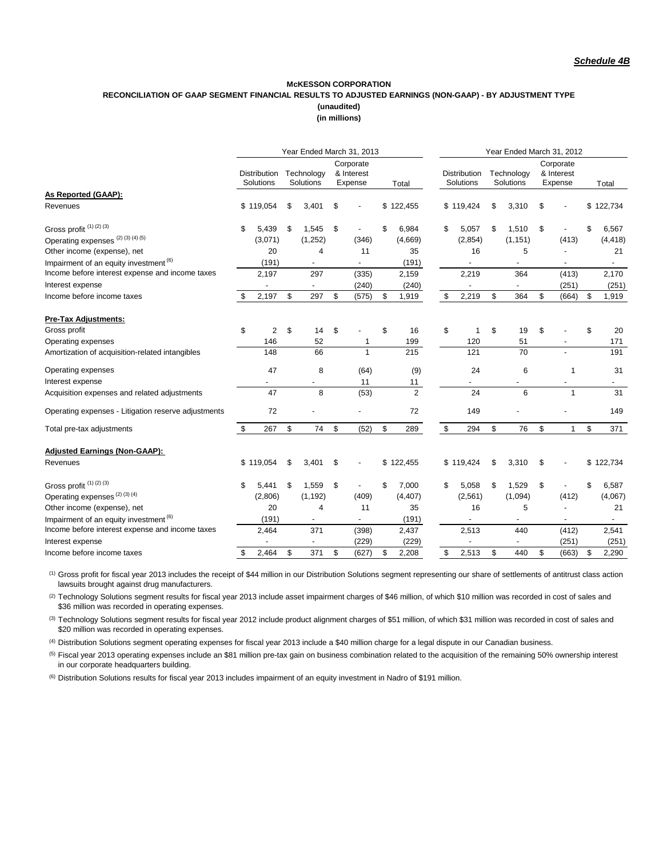#### **(in millions) McKESSON CORPORATION RECONCILIATION OF GAAP SEGMENT FINANCIAL RESULTS TO ADJUSTED EARNINGS (NON-GAAP) - BY ADJUSTMENT TYPE (unaudited)**

|                                                     | Year Ended March 31, 2013 |                                  |    |                          |    |                                    |    |                  | Year Ended March 31, 2012 |                                  |    |                          |    |                                    |    |                          |
|-----------------------------------------------------|---------------------------|----------------------------------|----|--------------------------|----|------------------------------------|----|------------------|---------------------------|----------------------------------|----|--------------------------|----|------------------------------------|----|--------------------------|
|                                                     |                           | <b>Distribution</b><br>Solutions |    | Technology<br>Solutions  |    | Corporate<br>& Interest<br>Expense |    | Total            |                           | <b>Distribution</b><br>Solutions |    | Technology<br>Solutions  |    | Corporate<br>& Interest<br>Expense |    | Total                    |
| As Reported (GAAP):                                 |                           |                                  |    |                          |    |                                    |    |                  |                           |                                  |    |                          |    |                                    |    |                          |
| Revenues                                            |                           | \$119,054                        | \$ | 3,401                    | \$ |                                    |    | \$122,455        |                           | \$119,424                        | \$ | 3,310                    | \$ |                                    |    | \$122,734                |
| Gross profit <sup>(1)(2)(3)</sup>                   | \$                        | 5,439                            | \$ | 1,545                    | \$ |                                    | \$ | 6,984            | \$                        | 5,057                            | \$ | 1,510                    | \$ |                                    |    | 6,567                    |
| Operating expenses <sup>(2)(3)(4)(5)</sup>          |                           | (3,071)                          |    | (1,252)                  |    | (346)                              |    | (4,669)          |                           | (2, 854)                         |    | (1, 151)                 |    | (413)                              |    | (4, 418)                 |
| Other income (expense), net                         |                           | 20                               |    | 4                        |    | 11                                 |    | 35               |                           | 16                               |    | 5                        |    |                                    |    | 21                       |
| Impairment of an equity investment <sup>(6)</sup>   |                           | (191)                            |    | $\overline{\phantom{m}}$ |    |                                    |    | (191)            |                           |                                  |    | $\overline{\phantom{m}}$ |    |                                    |    | $\overline{\phantom{a}}$ |
| Income before interest expense and income taxes     |                           | 2,197                            |    | 297                      |    | (335)                              |    | 2,159            |                           | 2,219                            |    | 364                      |    | (413)                              |    | 2,170                    |
| Interest expense                                    |                           |                                  |    |                          |    | (240)                              |    | (240)            |                           |                                  |    |                          |    | (251)                              |    | (251)                    |
| Income before income taxes                          | \$                        | 2,197                            | \$ | 297                      | \$ | (575)                              | \$ | 1,919            | \$                        | 2,219                            | \$ | 364                      | \$ | (664)                              | \$ | 1.919                    |
| <b>Pre-Tax Adjustments:</b>                         |                           |                                  |    |                          |    |                                    |    |                  |                           |                                  |    |                          |    |                                    |    |                          |
| Gross profit                                        | \$                        | $\overline{2}$                   | \$ | 14                       | \$ |                                    | \$ | 16               | \$                        | 1                                | \$ | 19                       | \$ |                                    | \$ | 20                       |
| Operating expenses                                  |                           | 146                              |    | 52                       |    | 1                                  |    | 199              |                           | 120                              |    | 51                       |    |                                    |    | 171                      |
| Amortization of acquisition-related intangibles     |                           | 148                              |    | 66                       |    | 1                                  |    | $\overline{215}$ |                           | 121                              |    | $\overline{70}$          |    |                                    |    | 191                      |
| Operating expenses                                  |                           | 47                               |    | 8                        |    | (64)                               |    | (9)              |                           | 24                               |    | 6                        |    | 1                                  |    | 31                       |
| Interest expense                                    |                           |                                  |    |                          |    | 11                                 |    | 11               |                           |                                  |    |                          |    |                                    |    |                          |
| Acquisition expenses and related adjustments        |                           | 47                               |    | 8                        |    | (53)                               |    | 2                |                           | 24                               |    | 6                        |    | 1                                  |    | 31                       |
| Operating expenses - Litigation reserve adjustments |                           | 72                               |    |                          |    |                                    |    | 72               |                           | 149                              |    |                          |    |                                    |    | 149                      |
| Total pre-tax adjustments                           | \$                        | 267                              | \$ | 74                       | \$ | (52)                               | \$ | 289              | \$                        | 294                              | \$ | 76                       | \$ | $\mathbf{1}$                       | \$ | 371                      |
| <b>Adjusted Earnings (Non-GAAP):</b>                |                           |                                  |    |                          |    |                                    |    |                  |                           |                                  |    |                          |    |                                    |    |                          |
| Revenues                                            |                           | \$119,054                        | \$ | 3,401                    | \$ |                                    | \$ | 122,455          |                           | \$119,424                        | \$ | 3,310                    | \$ |                                    |    | \$122,734                |
| Gross profit <sup>(1)(2)(3)</sup>                   | \$                        | 5.441                            | \$ | 1,559                    | \$ |                                    | \$ | 7,000            | \$                        | 5,058                            | \$ | 1,529                    | \$ |                                    | \$ | 6,587                    |
| Operating expenses <sup>(2)(3)(4)</sup>             |                           | (2,806)                          |    | (1, 192)                 |    | (409)                              |    | (4, 407)         |                           | (2, 561)                         |    | (1,094)                  |    | (412)                              |    | (4,067)                  |
| Other income (expense), net                         |                           | 20                               |    | 4                        |    | 11                                 |    | 35               |                           | 16                               |    | 5                        |    |                                    |    | 21                       |
| Impairment of an equity investment <sup>(6)</sup>   |                           | (191)                            |    | $\overline{\phantom{0}}$ |    |                                    |    | (191)            |                           |                                  |    |                          |    |                                    |    |                          |
| Income before interest expense and income taxes     |                           | 2,464                            |    | 371                      |    | (398)                              |    | 2,437            |                           | 2,513                            |    | 440                      |    | (412)                              |    | 2,541                    |
| Interest expense                                    |                           |                                  |    |                          |    | (229)                              |    | (229)            |                           |                                  |    |                          |    | (251)                              |    | (251)                    |
| Income before income taxes                          | \$                        | 2.464                            | \$ | 371                      | \$ | (627)                              | \$ | 2.208            | \$                        | 2,513                            | \$ | 440                      | \$ | (663)                              | \$ | 2.290                    |

 $^{(1)}$  Gross profit for fiscal year 2013 includes the receipt of \$44 million in our Distribution Solutions segment representing our share of settlements of antitrust class action lawsuits brought against drug manufacturers.

(2) Technology Solutions segment results for fiscal year 2013 include asset impairment charges of \$46 million, of which \$10 million was recorded in cost of sales and \$36 million was recorded in operating expenses.

(3) Technology Solutions segment results for fiscal year 2012 include product alignment charges of \$51 million, of which \$31 million was recorded in cost of sales and \$20 million was recorded in operating expenses.

(4) Distribution Solutions segment operating expenses for fiscal year 2013 include a \$40 million charge for a legal dispute in our Canadian business.

<sup>(5)</sup> Fiscal year 2013 operating expenses include an \$81 million pre-tax gain on business combination related to the acquisition of the remaining 50% ownership interest in our corporate headquarters building.

(6) Distribution Solutions results for fiscal year 2013 includes impairment of an equity investment in Nadro of \$191 million.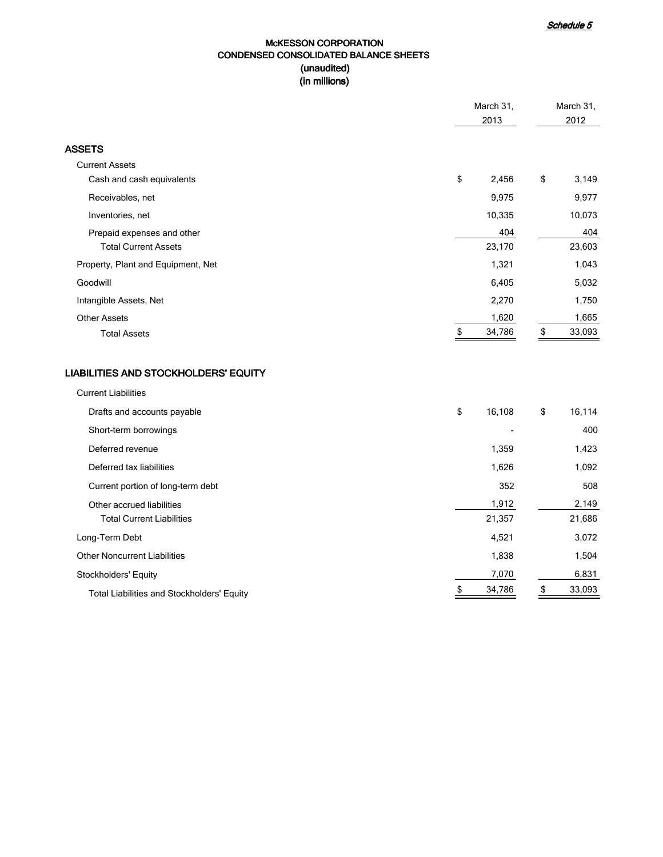### McKESSON CORPORATION CONDENSED CONSOLIDATED BALANCE SHEETS (unaudited) (in millions)

|                                             | March 31,<br>2013 | March 31,<br>2012 |
|---------------------------------------------|-------------------|-------------------|
| <b>ASSETS</b>                               |                   |                   |
| <b>Current Assets</b>                       |                   |                   |
| Cash and cash equivalents                   | \$<br>2,456       | \$<br>3,149       |
| Receivables, net                            | 9,975             | 9,977             |
| Inventories, net                            | 10,335            | 10,073            |
| Prepaid expenses and other                  | 404               | 404               |
| <b>Total Current Assets</b>                 | 23,170            | 23,603            |
| Property, Plant and Equipment, Net          | 1,321             | 1,043             |
| Goodwill                                    | 6,405             | 5,032             |
| Intangible Assets, Net                      | 2,270             | 1,750             |
| <b>Other Assets</b>                         | 1,620             | 1,665             |
| <b>Total Assets</b>                         | \$<br>34,786      | 33,093<br>\$      |
| <b>LIABILITIES AND STOCKHOLDERS' EQUITY</b> |                   |                   |
| <b>Current Liabilities</b>                  |                   |                   |
| Drafts and accounts payable                 | \$<br>16,108      | \$<br>16,114      |
| Short-term borrowings                       |                   | 400               |
| Deferred revenue                            | 1,359             | 1,423             |
| Deferred tax liabilities                    | 1,626             | 1,092             |
| Current portion of long-term debt           | 352               | 508               |
| Other accrued liabilities                   | 1,912             | 2,149             |
| <b>Total Current Liabilities</b>            | 21,357            | 21,686            |
| Long-Term Debt                              | 4,521             | 3,072             |
| <b>Other Noncurrent Liabilities</b>         | 1,838             | 1,504             |

Stockholders' Equity 6,831 5 and Stockholders' Equity 6,831 5 and Stockholders' Equity 6,831 5 5 5 6,831 5 5 6,831 5 6,831 5 6,831 5 6,831 5 6,831 5 6,831 5 6,831 5 6,831 5 6,831 5 6,831 5 6,831 5 6,831 5 6,831 5 6,831 5 6 Total Liabilities and Stockholders' Equity **Accord 2018 5 34,786 5 33,093**